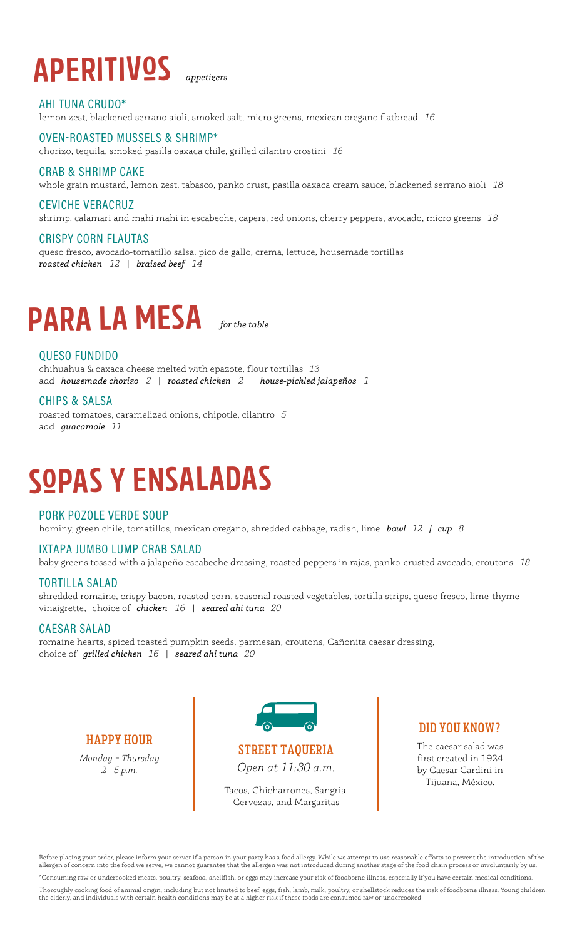# **APERITIVºS** *appetizers*

#### AHI TUNA CRUDO\* lemon zest, blackened serrano aioli, smoked salt, micro greens, mexican oregano flatbread *16*

#### OVEN-ROASTED MUSSELS & SHRIMP\*

chorizo, tequila, smoked pasilla oaxaca chile, grilled cilantro crostini *16*

#### CRAB & SHRIMP CAKE

whole grain mustard, lemon zest, tabasco, panko crust, pasilla oaxaca cream sauce, blackened serrano aioli *18*

#### CEVICHE VERACRUZ

shrimp, calamari and mahi mahi in escabeche, capers, red onions, cherry peppers, avocado, micro greens *18*

#### CRISPY CORN FLAUTAS

queso fresco, avocado-tomatillo salsa, pico de gallo, crema, lettuce, housemade tortillas *roasted chicken 12* | *braised beef 14*

## **PARA LA MESA** *for the table*

#### QUESO FUNDIDO

chihuahua & oaxaca cheese melted with epazote, flour tortillas *13* add *housemade chorizo 2* | *roasted chicken 2* | *house-pickled jalapeños 1*

#### CHIPS & SALSA

roasted tomatoes, caramelized onions, chipotle, cilantro *5* add *guacamole 11*

# **SºPAS Y ENSALADAS**

#### PORK POZOLE VERDE SOUP

hominy, green chile, tomatillos, mexican oregano, shredded cabbage, radish, lime *bowl 12 | cup 8*

#### IXTAPA JUMBO LUMP CRAB SALAD

baby greens tossed with a jalapeño escabeche dressing, roasted peppers in rajas, panko-crusted avocado, croutons *18*

#### TORTILLA SALAD

shredded romaine, crispy bacon, roasted corn, seasonal roasted vegetables, tortilla strips, queso fresco, lime-thyme vinaigrette, choice of *chicken 16* | *seared ahi tuna 20*

#### CAESAR SALAD

romaine hearts, spiced toasted pumpkin seeds, parmesan, croutons, Cañonita caesar dressing, choice of *grilled chicken 16* | *seared ahi tuna 20*

#### HAPPY HOUR

*Monday – Thursday 2 - 5 p.m.* 



STREET TAQUERIA *Open at 11:30 a.m.*

Tacos, Chicharrones, Sangria, Cervezas, and Margaritas

#### DID YOU KNOW?

The caesar salad was first created in 1924 by Caesar Cardini in Tijuana, México.

Before placing your order, please inform your server if a person in your party has a food allergy. While we attempt to use reasonable efforts to prevent the introduction of the allergen of concern into the food we serve, we cannot guarantee that the allergen was not introduced during another stage of the food chain process or involuntarily by us.

\*Consuming raw or undercooked meats, poultry, seafood, shellfish, or eggs may increase your risk of foodborne illness, especially if you have certain medical conditions. Thoroughly cooking food of animal origin, including but not limited to beef, eggs, fish, lamb, milk, poultry, or shellstock reduces the risk of foodborne illness. Young children,<br>the elderly, and individuals with certain h